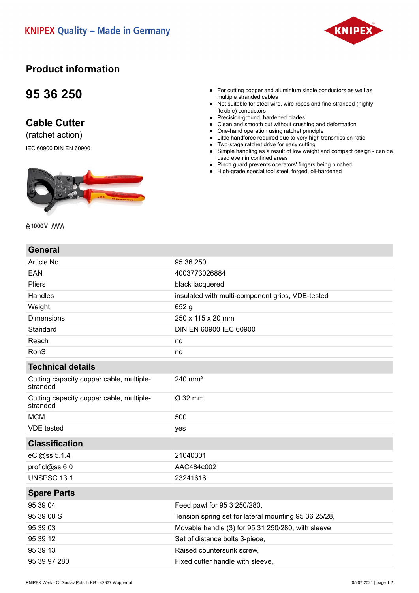

#### **Product information**

## **95 36 250**

### **Cable Cutter**

(ratchet action)

IEC 60900 DIN EN 60900



- For cutting copper and aluminium single conductors as well as multiple stranded cables
- Not suitable for steel wire, wire ropes and fine-stranded (highly flexible) conductors
- Precision-ground, hardened blades
- Clean and smooth cut without crushing and deformation
- One-hand operation using ratchet principle
- Little handforce required due to very high transmission ratio
- Two-stage ratchet drive for easy cutting ● Simple handling as a result of low weight and compact design - can be used even in confined areas
- Pinch guard prevents operators' fingers being pinched
- High-grade special tool steel, forged, oil-hardened

A 1000V MM

#### **General**

| Article No.                                          | 95 36 250                                            |
|------------------------------------------------------|------------------------------------------------------|
| <b>EAN</b>                                           | 4003773026884                                        |
| <b>Pliers</b>                                        | black lacquered                                      |
| Handles                                              | insulated with multi-component grips, VDE-tested     |
| Weight                                               | 652 g                                                |
| <b>Dimensions</b>                                    | 250 x 115 x 20 mm                                    |
| Standard                                             | DIN EN 60900 IEC 60900                               |
| Reach                                                | no                                                   |
| <b>RohS</b>                                          | no                                                   |
| <b>Technical details</b>                             |                                                      |
| Cutting capacity copper cable, multiple-<br>stranded | 240 mm <sup>2</sup>                                  |
| Cutting capacity copper cable, multiple-<br>stranded | Ø 32 mm                                              |
| <b>MCM</b>                                           | 500                                                  |
| <b>VDE</b> tested                                    | yes                                                  |
| <b>Classification</b>                                |                                                      |
| eCl@ss 5.1.4                                         | 21040301                                             |
| proficl@ss 6.0                                       | AAC484c002                                           |
| <b>UNSPSC 13.1</b>                                   | 23241616                                             |
| <b>Spare Parts</b>                                   |                                                      |
| 95 39 04                                             | Feed pawl for 95 3 250/280,                          |
| 95 39 08 S                                           | Tension spring set for lateral mounting 95 36 25/28, |
| 95 39 03                                             | Movable handle (3) for 95 31 250/280, with sleeve    |
| 95 39 12                                             | Set of distance bolts 3-piece,                       |
| 95 39 13                                             | Raised countersunk screw,                            |
| 95 39 97 280                                         | Fixed cutter handle with sleeve,                     |